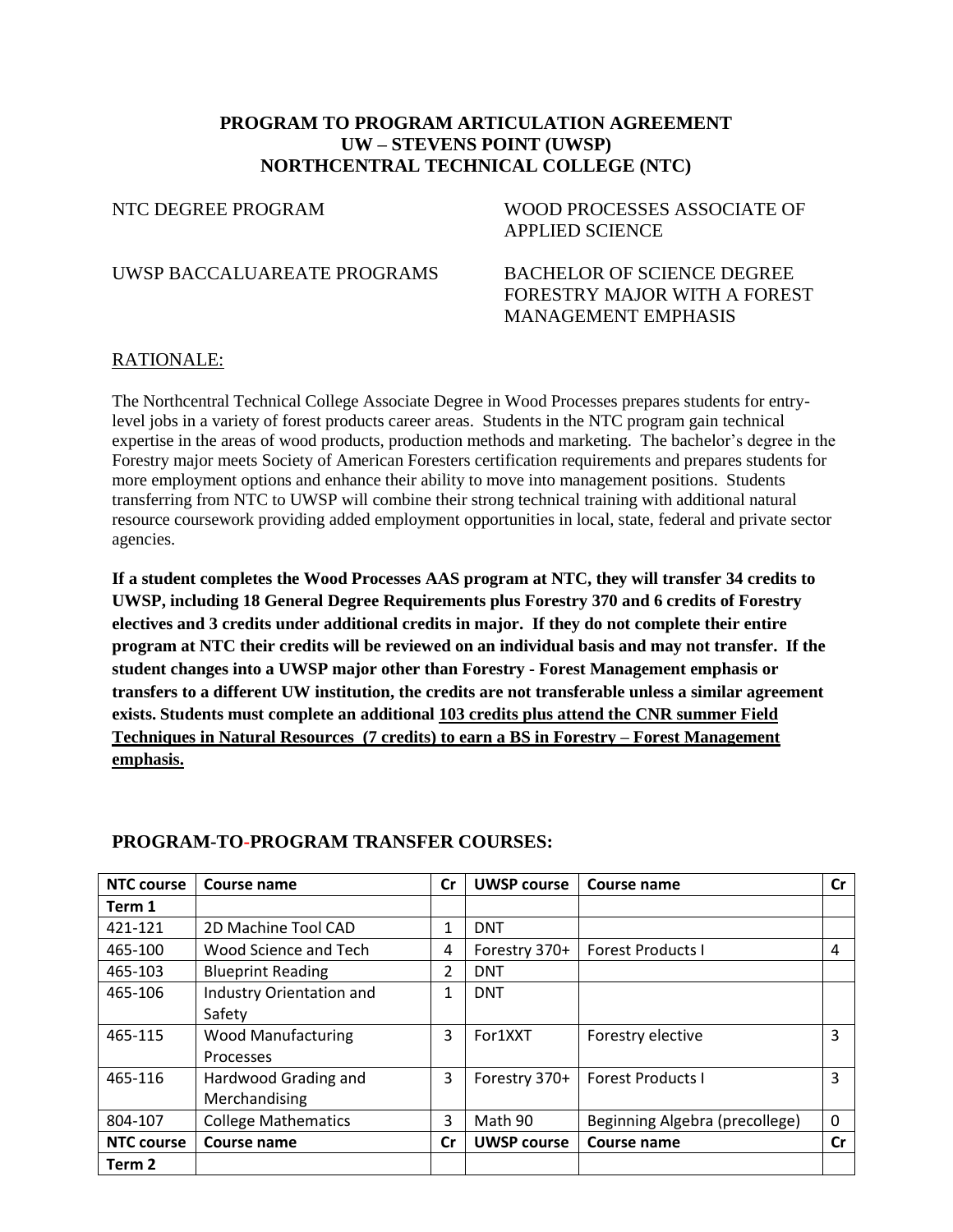# **PROGRAM TO PROGRAM ARTICULATION AGREEMENT UW – STEVENS POINT (UWSP) NORTHCENTRAL TECHNICAL COLLEGE (NTC)**

NTC DEGREE PROGRAM WOOD PROCESSES ASSOCIATE OF APPLIED SCIENCE

UWSP BACCALUAREATE PROGRAMS BACHELOR OF SCIENCE DEGREE

FORESTRY MAJOR WITH A FOREST MANAGEMENT EMPHASIS

### RATIONALE:

The Northcentral Technical College Associate Degree in Wood Processes prepares students for entrylevel jobs in a variety of forest products career areas. Students in the NTC program gain technical expertise in the areas of wood products, production methods and marketing. The bachelor's degree in the Forestry major meets Society of American Foresters certification requirements and prepares students for more employment options and enhance their ability to move into management positions. Students transferring from NTC to UWSP will combine their strong technical training with additional natural resource coursework providing added employment opportunities in local, state, federal and private sector agencies.

**If a student completes the Wood Processes AAS program at NTC, they will transfer 34 credits to UWSP, including 18 General Degree Requirements plus Forestry 370 and 6 credits of Forestry electives and 3 credits under additional credits in major. If they do not complete their entire program at NTC their credits will be reviewed on an individual basis and may not transfer. If the student changes into a UWSP major other than Forestry - Forest Management emphasis or transfers to a different UW institution, the credits are not transferable unless a similar agreement exists. Students must complete an additional 103 credits plus attend the CNR summer Field Techniques in Natural Resources (7 credits) to earn a BS in Forestry – Forest Management emphasis.**

| <b>NTC course</b> | Course name                | <b>Cr</b> | <b>UWSP course</b> | Course name                    | Cr       |
|-------------------|----------------------------|-----------|--------------------|--------------------------------|----------|
| Term 1            |                            |           |                    |                                |          |
| 421-121           | 2D Machine Tool CAD        | 1         | <b>DNT</b>         |                                |          |
| 465-100           | Wood Science and Tech      | 4         | Forestry 370+      | <b>Forest Products I</b>       | 4        |
| 465-103           | <b>Blueprint Reading</b>   | 2         | <b>DNT</b>         |                                |          |
| 465-106           | Industry Orientation and   | 1         | <b>DNT</b>         |                                |          |
|                   | Safety                     |           |                    |                                |          |
| 465-115           | Wood Manufacturing         | 3         | For1XXT            | Forestry elective              | 3        |
|                   | Processes                  |           |                    |                                |          |
| 465-116           | Hardwood Grading and       | 3         | Forestry 370+      | <b>Forest Products I</b>       | 3        |
|                   | Merchandising              |           |                    |                                |          |
| 804-107           | <b>College Mathematics</b> | 3         | Math 90            | Beginning Algebra (precollege) | $\Omega$ |
| <b>NTC course</b> | Course name                | Cr        | <b>UWSP course</b> | Course name                    | Cr       |
| Term 2            |                            |           |                    |                                |          |

### **PROGRAM-TO-PROGRAM TRANSFER COURSES:**